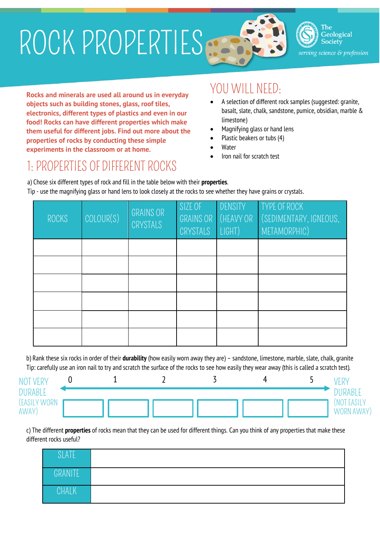# ROCK PROPERTIES



The Geological Society erving science & profession

**Rocks and minerals are used all around us in everyday objects such as building stones, glass, roof tiles, electronics, different types of plastics and even in our food! Rocks can have different properties which make them useful for different jobs. Find out more about the properties of rocks by conducting these simple experiments in the classroom or at home.**

#### YOU WILL NEED:

- A selection of different rock samples (suggested: granite, basalt, slate, chalk, sandstone, pumice, obsidian, marble & limestone)
- Magnifying glass or hand lens
- Plastic beakers or tubs (4)
- Water
- Iron nail for scratch test

### 1: PROPERTIES OF DIFFERENT ROCKS

a) Chose six different types of rock and fill in the table below with their **properties**. Tip - use the magnifying glass or hand lens to look closely at the rocks to see whether they have grains or crystals.

| ROCKS | COLOUR(S) | <b>GRAINS OR</b><br>CRYSTALS | SIZE OF<br>GRAINS OR<br>CRYSTALS | DENSITY<br>(HEAVY OR<br>LIGHT) | TYPE OF ROCK<br>(SEDIMENTARY, IGNEOUS,<br>METAMORPHIC) |
|-------|-----------|------------------------------|----------------------------------|--------------------------------|--------------------------------------------------------|
|       |           |                              |                                  |                                |                                                        |
|       |           |                              |                                  |                                |                                                        |
|       |           |                              |                                  |                                |                                                        |
|       |           |                              |                                  |                                |                                                        |
|       |           |                              |                                  |                                |                                                        |
|       |           |                              |                                  |                                |                                                        |

b) Rank these six rocks in order of their **durability** (how easily worn away they are) – sandstone, limestone, marble, slate, chalk, granite Tip: carefully use an iron nail to try and scratch the surface of the rocks to see how easily they wear away (this is called a scratch test).

| <b>NOT VERY</b>                |  |  |  |                               |
|--------------------------------|--|--|--|-------------------------------|
| <b>DURABLE</b><br>(EASILY WORN |  |  |  | <b>JURABLE</b><br>(NOT EASILY |
| AWAY)                          |  |  |  | WORN AWAY)                    |

c) The different **properties** of rocks mean that they can be used for different things. Can you think of any properties that make these different rocks useful?

| SLATE        |  |
|--------------|--|
| GRANITE      |  |
| <b>CHALK</b> |  |